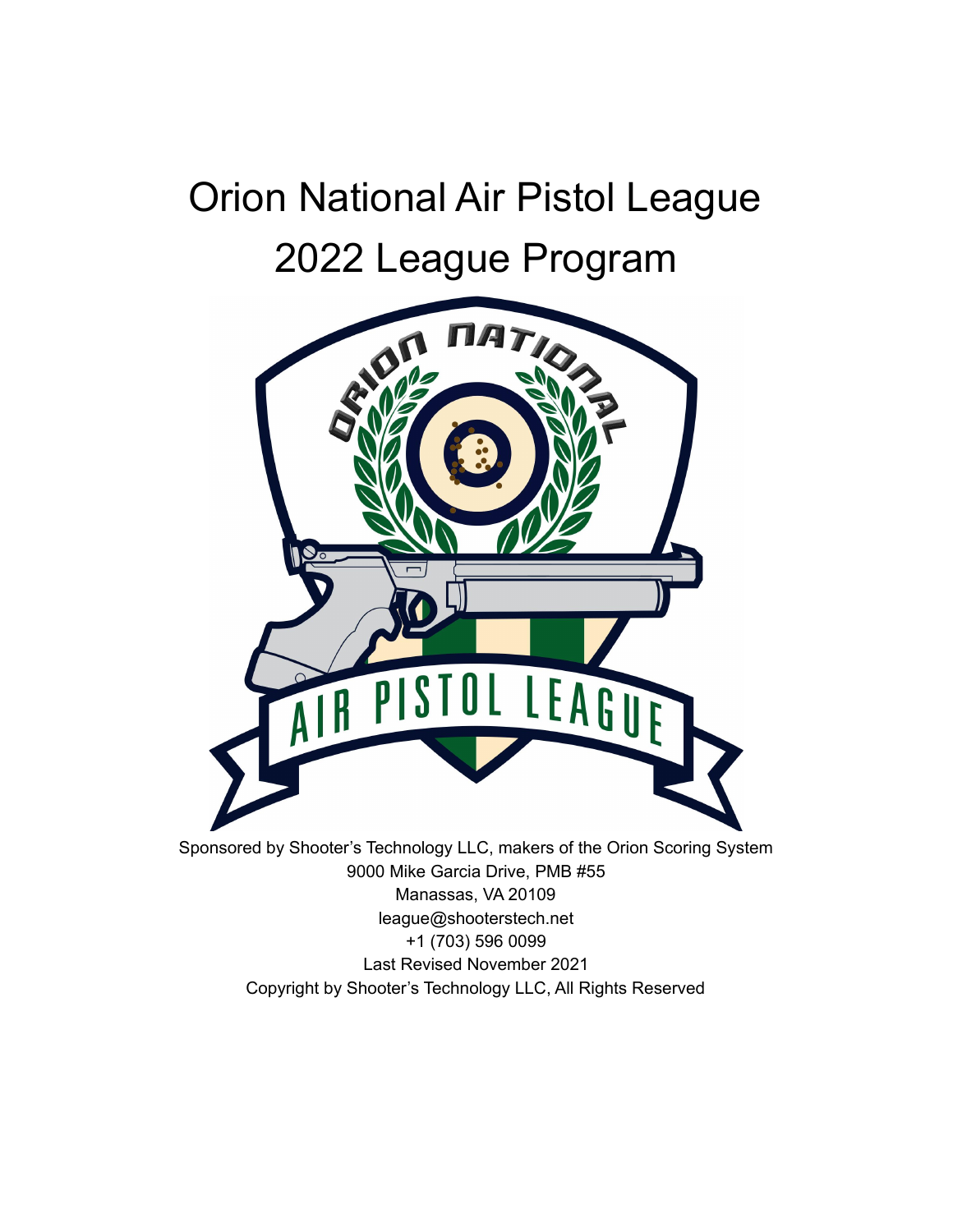# Orion National Air Pistol League 2022 League Program



Copyright by Shooter's Technology LLC, All Rights Reserved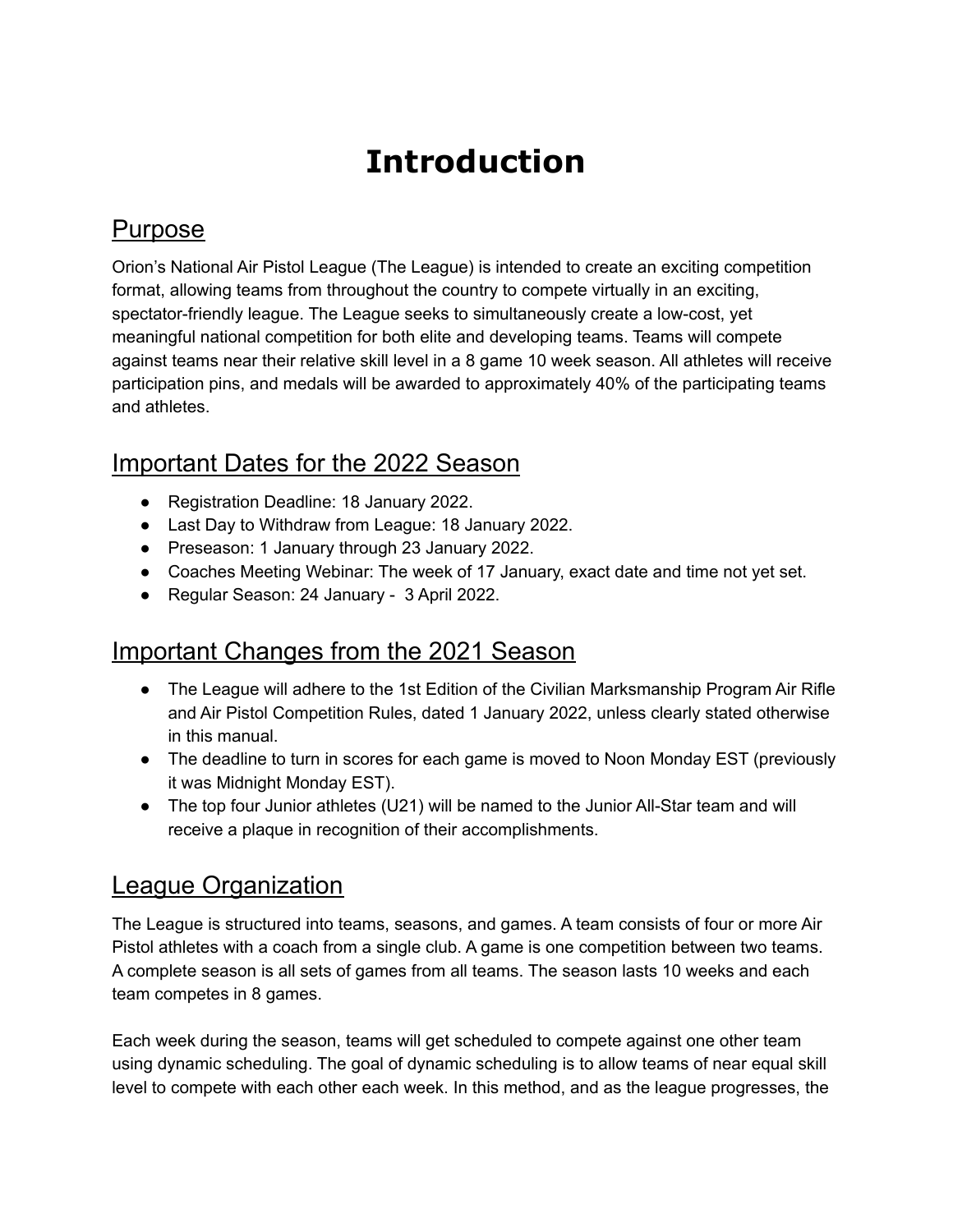## **Introduction**

#### Purpose

Orion's National Air Pistol League (The League) is intended to create an exciting competition format, allowing teams from throughout the country to compete virtually in an exciting, spectator-friendly league. The League seeks to simultaneously create a low-cost, yet meaningful national competition for both elite and developing teams. Teams will compete against teams near their relative skill level in a 8 game 10 week season. All athletes will receive participation pins, and medals will be awarded to approximately 40% of the participating teams and athletes.

### Important Dates for the 2022 Season

- Registration Deadline: 18 January 2022.
- Last Day to Withdraw from League: 18 January 2022.
- Preseason: 1 January through 23 January 2022.
- Coaches Meeting Webinar: The week of 17 January, exact date and time not yet set.
- Regular Season: 24 January 3 April 2022.

#### Important Changes from the 2021 Season

- The League will adhere to the 1st Edition of the Civilian Marksmanship Program Air Rifle and Air Pistol Competition Rules, dated 1 January 2022, unless clearly stated otherwise in this manual.
- The deadline to turn in scores for each game is moved to Noon Monday EST (previously it was Midnight Monday EST).
- The top four Junior athletes (U21) will be named to the Junior All-Star team and will receive a plaque in recognition of their accomplishments.

#### League Organization

The League is structured into teams, seasons, and games. A team consists of four or more Air Pistol athletes with a coach from a single club. A game is one competition between two teams. A complete season is all sets of games from all teams. The season lasts 10 weeks and each team competes in 8 games.

Each week during the season, teams will get scheduled to compete against one other team using dynamic scheduling. The goal of dynamic scheduling is to allow teams of near equal skill level to compete with each other each week. In this method, and as the league progresses, the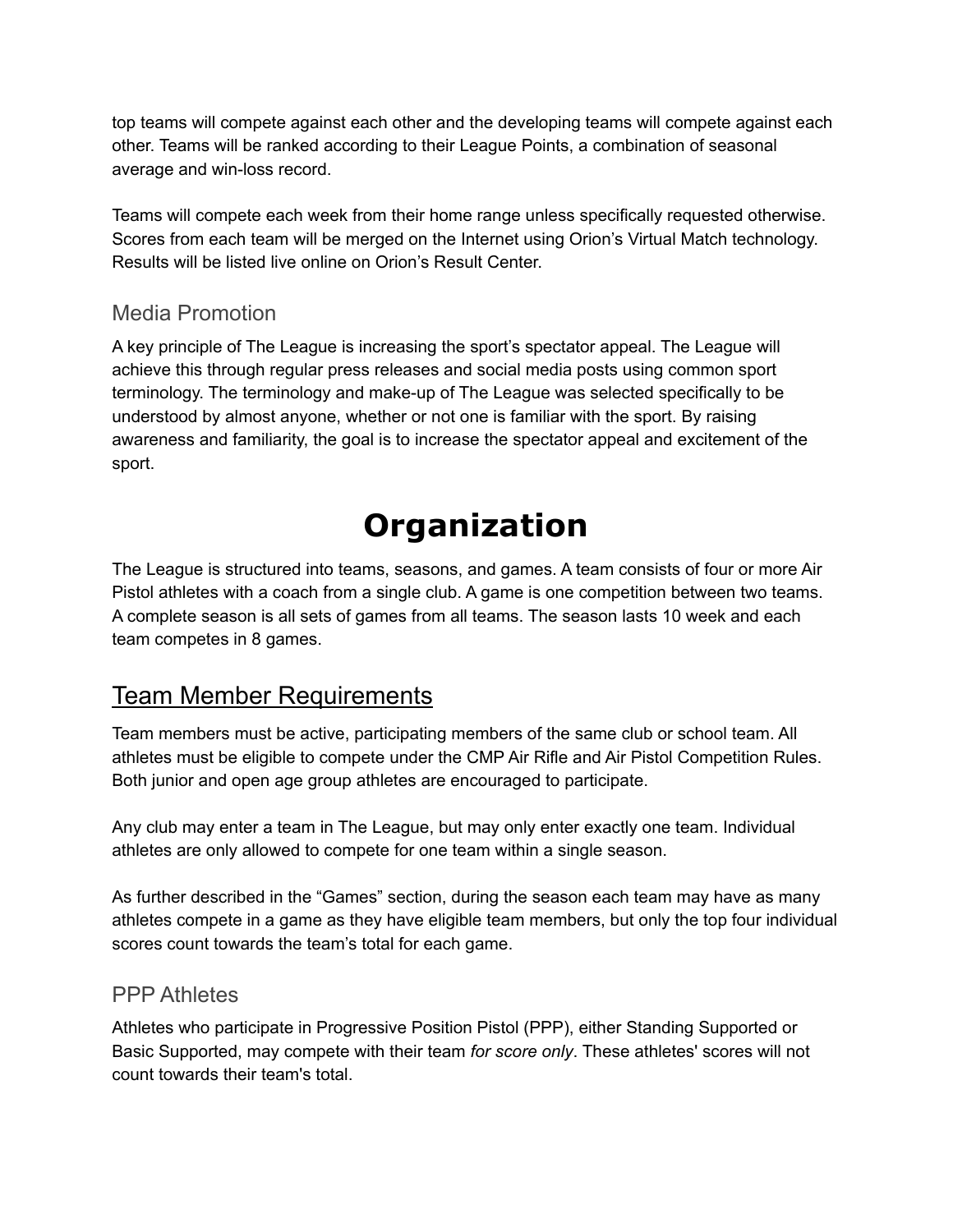top teams will compete against each other and the developing teams will compete against each other. Teams will be ranked according to their League Points, a combination of seasonal average and win-loss record.

Teams will compete each week from their home range unless specifically requested otherwise. Scores from each team will be merged on the Internet using Orion's Virtual Match technology. Results will be listed live online on Orion's Result Center.

#### Media Promotion

A key principle of The League is increasing the sport's spectator appeal. The League will achieve this through regular press releases and social media posts using common sport terminology. The terminology and make-up of The League was selected specifically to be understood by almost anyone, whether or not one is familiar with the sport. By raising awareness and familiarity, the goal is to increase the spectator appeal and excitement of the sport.

## **Organization**

The League is structured into teams, seasons, and games. A team consists of four or more Air Pistol athletes with a coach from a single club. A game is one competition between two teams. A complete season is all sets of games from all teams. The season lasts 10 week and each team competes in 8 games.

### Team Member Requirements

Team members must be active, participating members of the same club or school team. All athletes must be eligible to compete under the CMP Air Rifle and Air Pistol Competition Rules. Both junior and open age group athletes are encouraged to participate.

Any club may enter a team in The League, but may only enter exactly one team. Individual athletes are only allowed to compete for one team within a single season.

As further described in the "Games" section, during the season each team may have as many athletes compete in a game as they have eligible team members, but only the top four individual scores count towards the team's total for each game.

#### PPP Athletes

Athletes who participate in Progressive Position Pistol (PPP), either Standing Supported or Basic Supported, may compete with their team *for score only*. These athletes' scores will not count towards their team's total.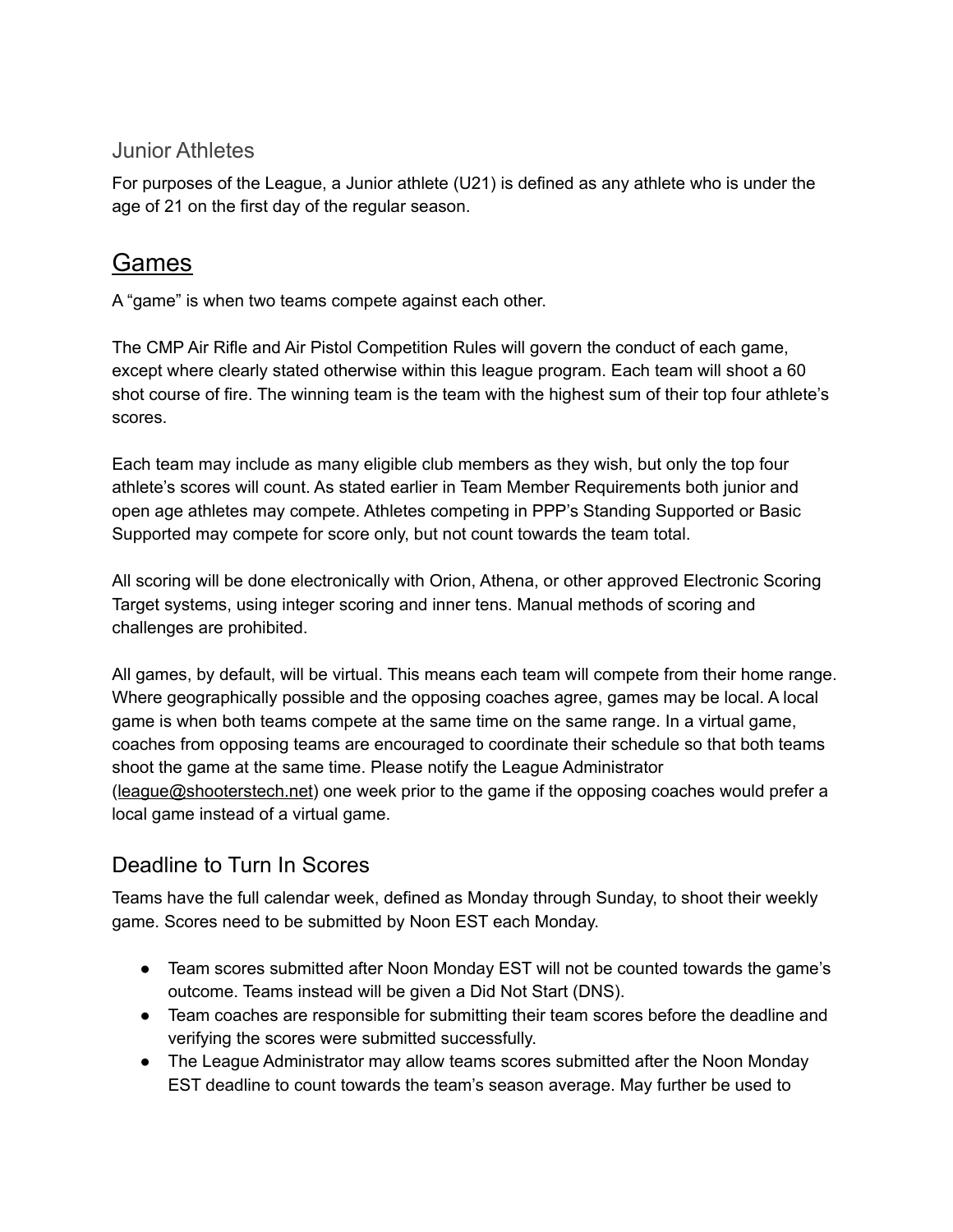#### Junior Athletes

For purposes of the League, a Junior athlete (U21) is defined as any athlete who is under the age of 21 on the first day of the regular season.

#### Games

A "game" is when two teams compete against each other.

The CMP Air Rifle and Air Pistol Competition Rules will govern the conduct of each game, except where clearly stated otherwise within this league program. Each team will shoot a 60 shot course of fire. The winning team is the team with the highest sum of their top four athlete's scores.

Each team may include as many eligible club members as they wish, but only the top four athlete's scores will count. As stated earlier in Team Member Requirements both junior and open age athletes may compete. Athletes competing in PPP's Standing Supported or Basic Supported may compete for score only, but not count towards the team total.

All scoring will be done electronically with Orion, Athena, or other approved Electronic Scoring Target systems, using integer scoring and inner tens. Manual methods of scoring and challenges are prohibited.

All games, by default, will be virtual. This means each team will compete from their home range. Where geographically possible and the opposing coaches agree, games may be local. A local game is when both teams compete at the same time on the same range. In a virtual game, coaches from opposing teams are encouraged to coordinate their schedule so that both teams shoot the game at the same time. Please notify the League Administrator ([league@shooterstech.net](mailto:league@shooterstech.net)) one week prior to the game if the opposing coaches would prefer a local game instead of a virtual game.

#### Deadline to Turn In Scores

Teams have the full calendar week, defined as Monday through Sunday, to shoot their weekly game. Scores need to be submitted by Noon EST each Monday.

- Team scores submitted after Noon Monday EST will not be counted towards the game's outcome. Teams instead will be given a Did Not Start (DNS).
- Team coaches are responsible for submitting their team scores before the deadline and verifying the scores were submitted successfully.
- The League Administrator may allow teams scores submitted after the Noon Monday EST deadline to count towards the team's season average. May further be used to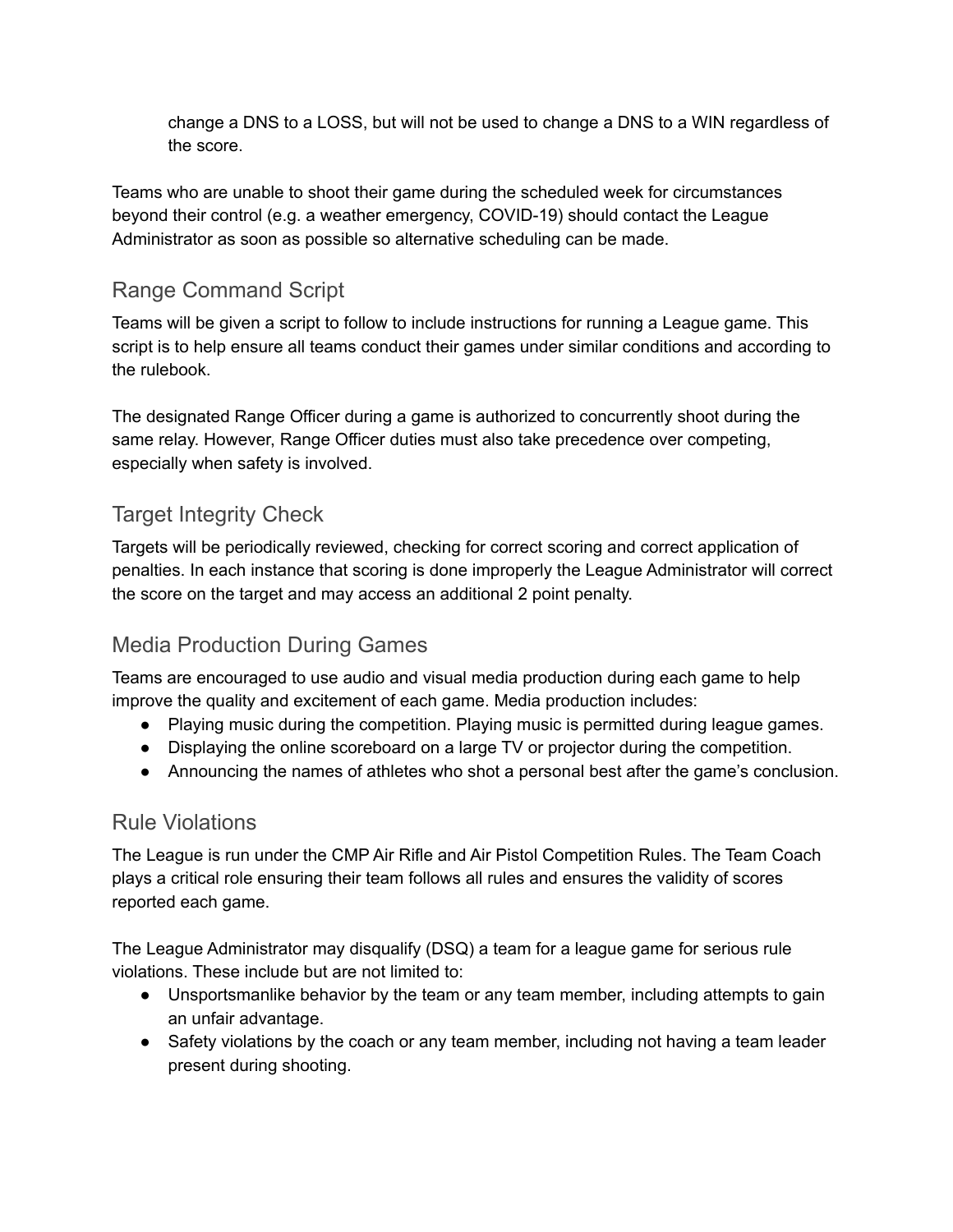change a DNS to a LOSS, but will not be used to change a DNS to a WIN regardless of the score.

Teams who are unable to shoot their game during the scheduled week for circumstances beyond their control (e.g. a weather emergency, COVID-19) should contact the League Administrator as soon as possible so alternative scheduling can be made.

#### Range Command Script

Teams will be given a script to follow to include instructions for running a League game. This script is to help ensure all teams conduct their games under similar conditions and according to the rulebook.

The designated Range Officer during a game is authorized to concurrently shoot during the same relay. However, Range Officer duties must also take precedence over competing, especially when safety is involved.

#### Target Integrity Check

Targets will be periodically reviewed, checking for correct scoring and correct application of penalties. In each instance that scoring is done improperly the League Administrator will correct the score on the target and may access an additional 2 point penalty.

#### Media Production During Games

Teams are encouraged to use audio and visual media production during each game to help improve the quality and excitement of each game. Media production includes:

- Playing music during the competition. Playing music is permitted during league games.
- Displaying the online scoreboard on a large TV or projector during the competition.
- Announcing the names of athletes who shot a personal best after the game's conclusion.

#### Rule Violations

The League is run under the CMP Air Rifle and Air Pistol Competition Rules. The Team Coach plays a critical role ensuring their team follows all rules and ensures the validity of scores reported each game.

The League Administrator may disqualify (DSQ) a team for a league game for serious rule violations. These include but are not limited to:

- Unsportsmanlike behavior by the team or any team member, including attempts to gain an unfair advantage.
- Safety violations by the coach or any team member, including not having a team leader present during shooting.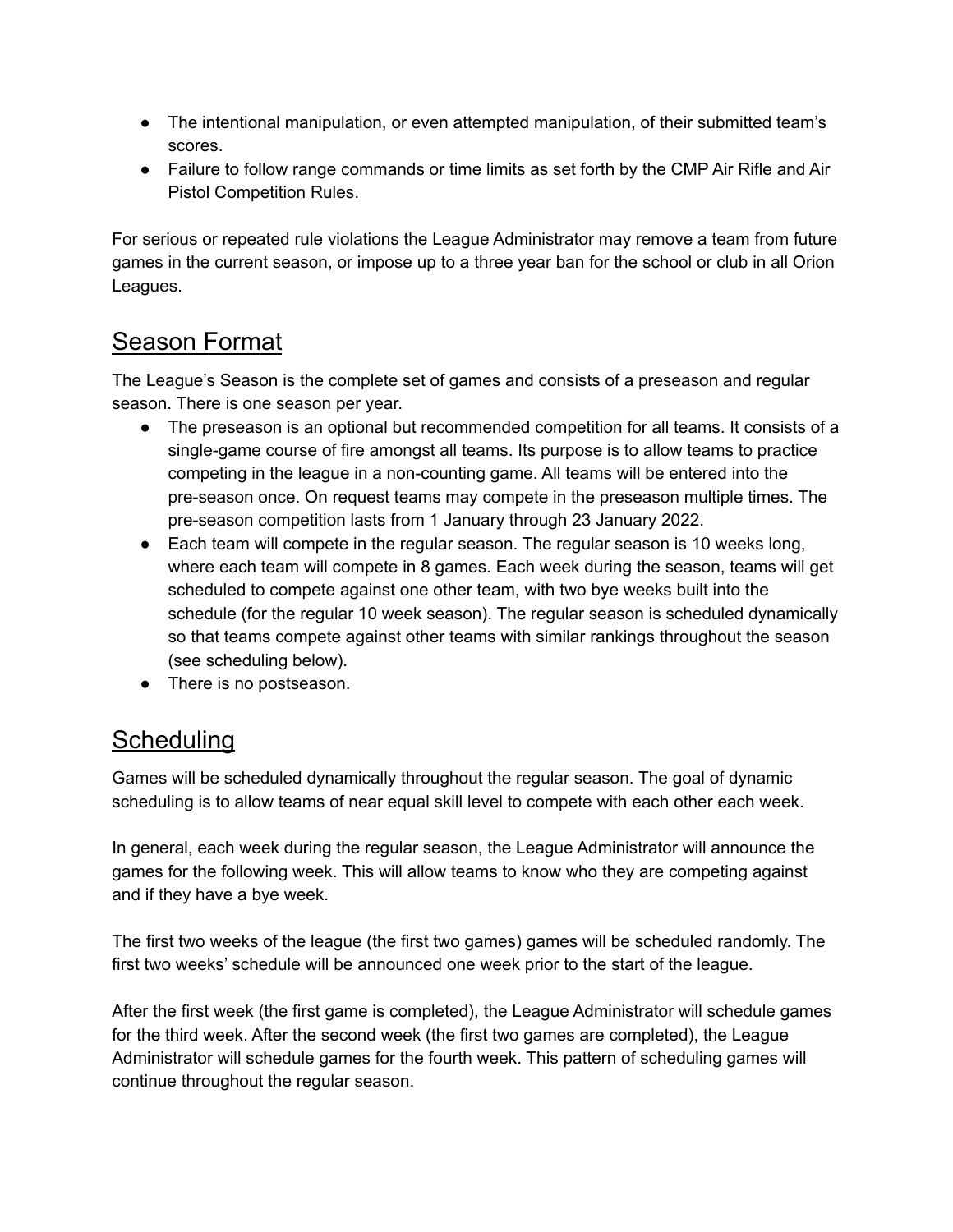- The intentional manipulation, or even attempted manipulation, of their submitted team's scores.
- Failure to follow range commands or time limits as set forth by the CMP Air Rifle and Air Pistol Competition Rules.

For serious or repeated rule violations the League Administrator may remove a team from future games in the current season, or impose up to a three year ban for the school or club in all Orion Leagues.

### Season Format

The League's Season is the complete set of games and consists of a preseason and regular season. There is one season per year.

- The preseason is an optional but recommended competition for all teams. It consists of a single-game course of fire amongst all teams. Its purpose is to allow teams to practice competing in the league in a non-counting game. All teams will be entered into the pre-season once. On request teams may compete in the preseason multiple times. The pre-season competition lasts from 1 January through 23 January 2022.
- Each team will compete in the regular season. The regular season is 10 weeks long, where each team will compete in 8 games. Each week during the season, teams will get scheduled to compete against one other team, with two bye weeks built into the schedule (for the regular 10 week season). The regular season is scheduled dynamically so that teams compete against other teams with similar rankings throughout the season (see scheduling below).
- There is no postseason.

## **Scheduling**

Games will be scheduled dynamically throughout the regular season. The goal of dynamic scheduling is to allow teams of near equal skill level to compete with each other each week.

In general, each week during the regular season, the League Administrator will announce the games for the following week. This will allow teams to know who they are competing against and if they have a bye week.

The first two weeks of the league (the first two games) games will be scheduled randomly. The first two weeks' schedule will be announced one week prior to the start of the league.

After the first week (the first game is completed), the League Administrator will schedule games for the third week. After the second week (the first two games are completed), the League Administrator will schedule games for the fourth week. This pattern of scheduling games will continue throughout the regular season.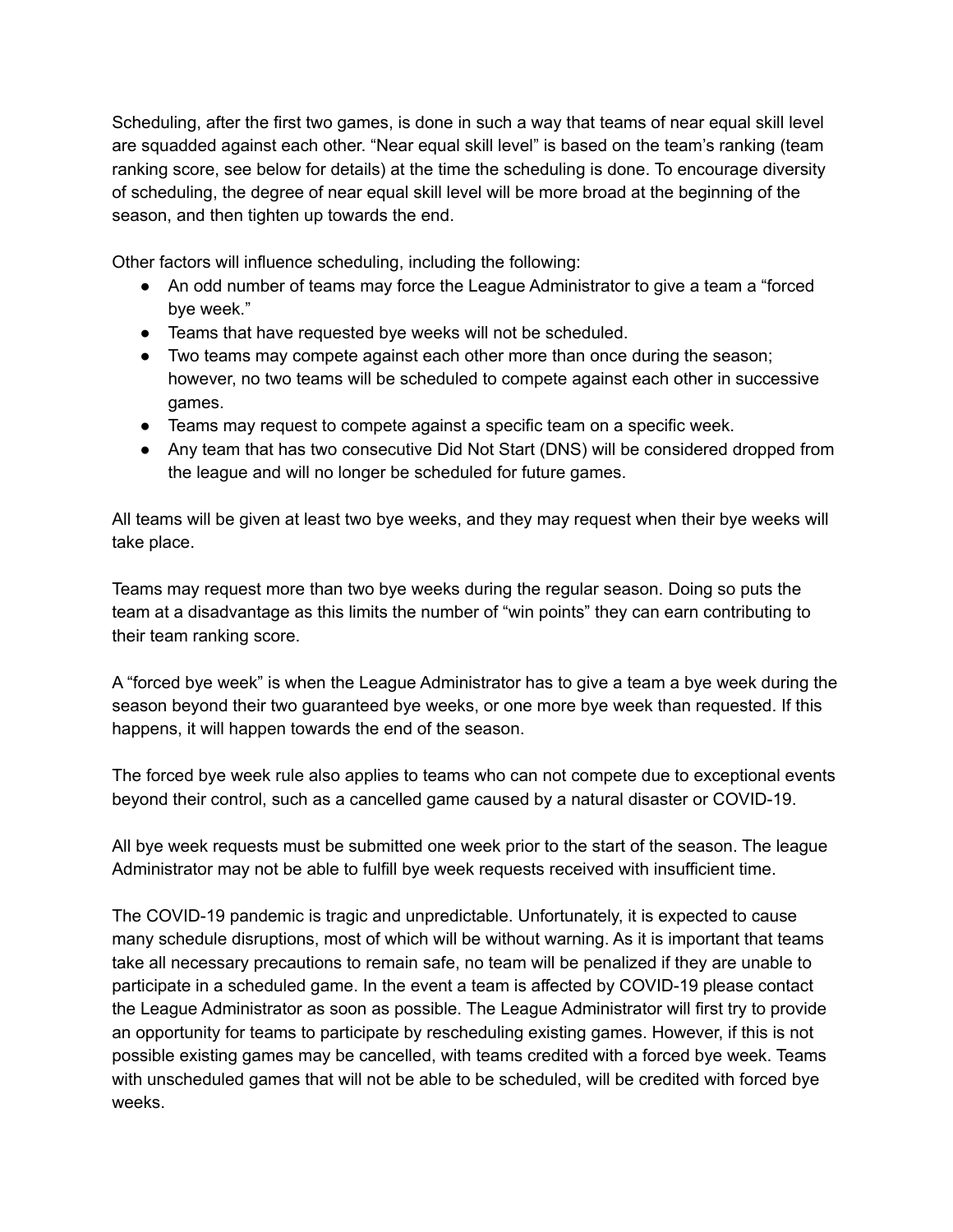Scheduling, after the first two games, is done in such a way that teams of near equal skill level are squadded against each other. "Near equal skill level" is based on the team's ranking (team ranking score, see below for details) at the time the scheduling is done. To encourage diversity of scheduling, the degree of near equal skill level will be more broad at the beginning of the season, and then tighten up towards the end.

Other factors will influence scheduling, including the following:

- An odd number of teams may force the League Administrator to give a team a "forced bye week."
- Teams that have requested bye weeks will not be scheduled.
- Two teams may compete against each other more than once during the season; however, no two teams will be scheduled to compete against each other in successive games.
- Teams may request to compete against a specific team on a specific week.
- Any team that has two consecutive Did Not Start (DNS) will be considered dropped from the league and will no longer be scheduled for future games.

All teams will be given at least two bye weeks, and they may request when their bye weeks will take place.

Teams may request more than two bye weeks during the regular season. Doing so puts the team at a disadvantage as this limits the number of "win points" they can earn contributing to their team ranking score.

A "forced bye week" is when the League Administrator has to give a team a bye week during the season beyond their two guaranteed bye weeks, or one more bye week than requested. If this happens, it will happen towards the end of the season.

The forced bye week rule also applies to teams who can not compete due to exceptional events beyond their control, such as a cancelled game caused by a natural disaster or COVID-19.

All bye week requests must be submitted one week prior to the start of the season. The league Administrator may not be able to fulfill bye week requests received with insufficient time.

The COVID-19 pandemic is tragic and unpredictable. Unfortunately, it is expected to cause many schedule disruptions, most of which will be without warning. As it is important that teams take all necessary precautions to remain safe, no team will be penalized if they are unable to participate in a scheduled game. In the event a team is affected by COVID-19 please contact the League Administrator as soon as possible. The League Administrator will first try to provide an opportunity for teams to participate by rescheduling existing games. However, if this is not possible existing games may be cancelled, with teams credited with a forced bye week. Teams with unscheduled games that will not be able to be scheduled, will be credited with forced bye weeks.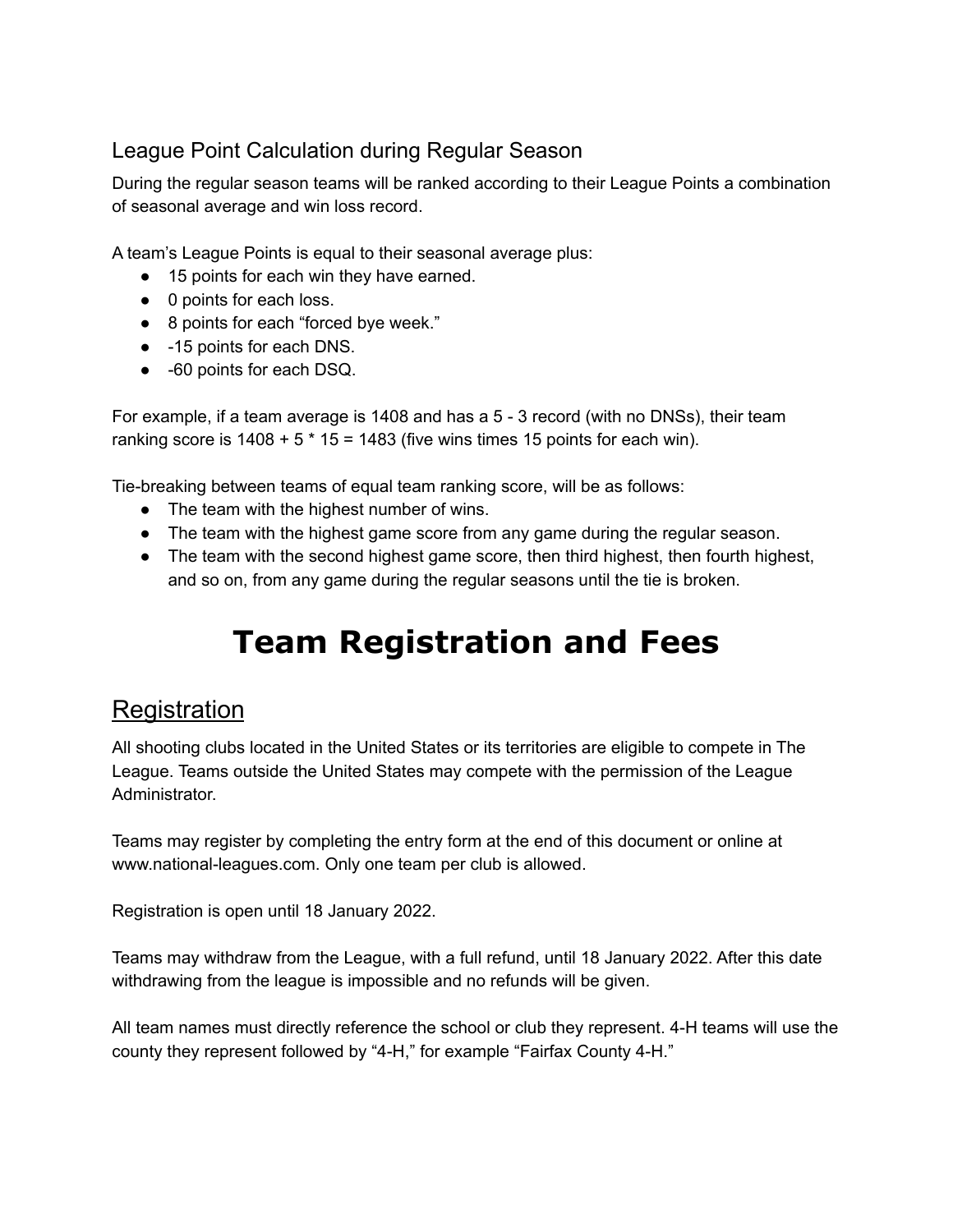#### League Point Calculation during Regular Season

During the regular season teams will be ranked according to their League Points a combination of seasonal average and win loss record.

A team's League Points is equal to their seasonal average plus:

- 15 points for each win they have earned.
- 0 points for each loss.
- 8 points for each "forced bye week."
- -15 points for each DNS.
- -60 points for each DSQ.

For example, if a team average is 1408 and has a 5 - 3 record (with no DNSs), their team ranking score is  $1408 + 5 * 15 = 1483$  (five wins times 15 points for each win).

Tie-breaking between teams of equal team ranking score, will be as follows:

- The team with the highest number of wins.
- The team with the highest game score from any game during the regular season.
- The team with the second highest game score, then third highest, then fourth highest, and so on, from any game during the regular seasons until the tie is broken.

## **Team Registration and Fees**

#### **Registration**

All shooting clubs located in the United States or its territories are eligible to compete in The League. Teams outside the United States may compete with the permission of the League Administrator.

Teams may register by completing the entry form at the end of this document or online at www.national-leagues.com. Only one team per club is allowed.

Registration is open until 18 January 2022.

Teams may withdraw from the League, with a full refund, until 18 January 2022. After this date withdrawing from the league is impossible and no refunds will be given.

All team names must directly reference the school or club they represent. 4-H teams will use the county they represent followed by "4-H," for example "Fairfax County 4-H."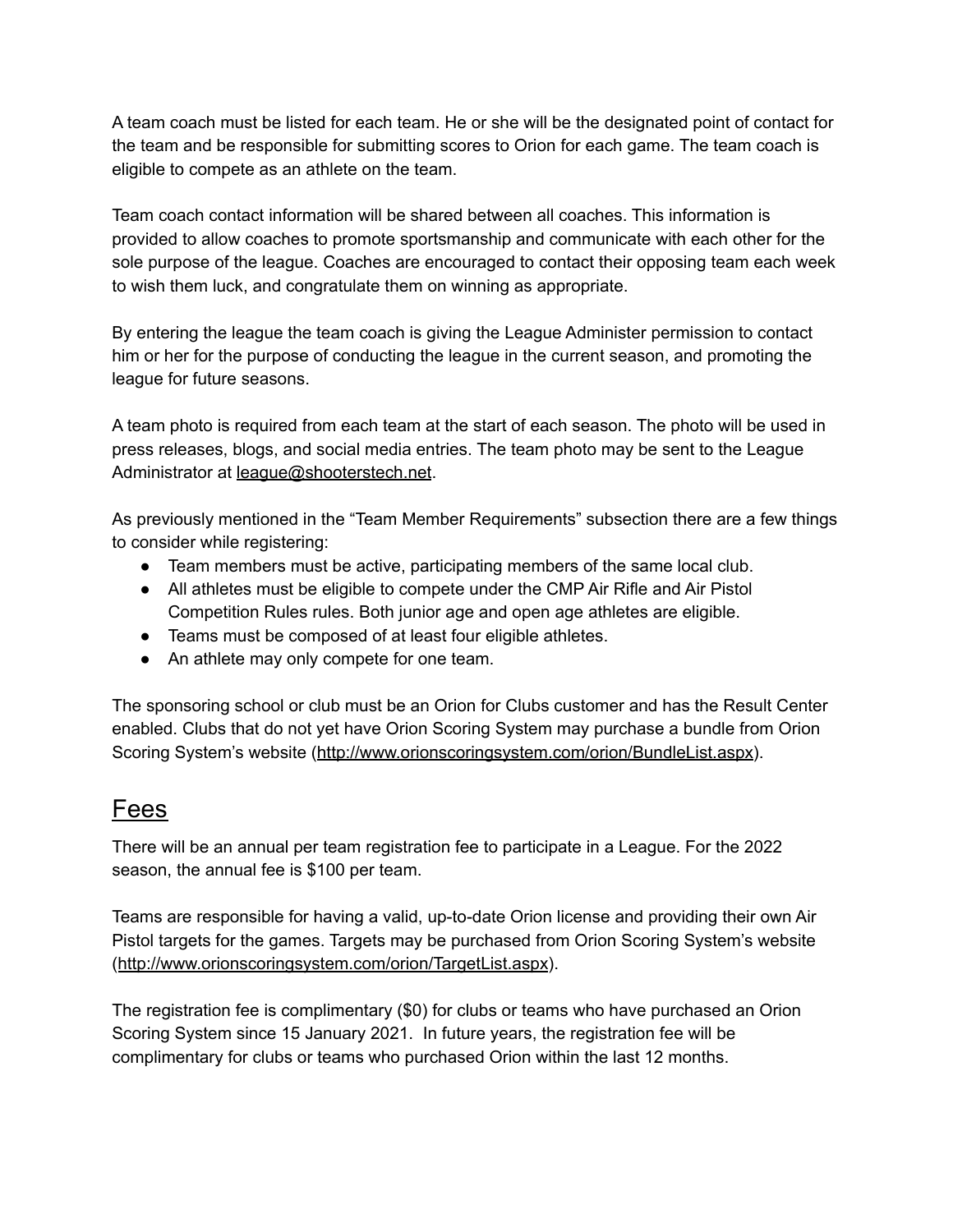A team coach must be listed for each team. He or she will be the designated point of contact for the team and be responsible for submitting scores to Orion for each game. The team coach is eligible to compete as an athlete on the team.

Team coach contact information will be shared between all coaches. This information is provided to allow coaches to promote sportsmanship and communicate with each other for the sole purpose of the league. Coaches are encouraged to contact their opposing team each week to wish them luck, and congratulate them on winning as appropriate.

By entering the league the team coach is giving the League Administer permission to contact him or her for the purpose of conducting the league in the current season, and promoting the league for future seasons.

A team photo is required from each team at the start of each season. The photo will be used in press releases, blogs, and social media entries. The team photo may be sent to the League Administrator at [league@shooterstech.net](mailto:league@shooterstech.net).

As previously mentioned in the "Team Member Requirements" subsection there are a few things to consider while registering:

- Team members must be active, participating members of the same local club.
- All athletes must be eligible to compete under the CMP Air Rifle and Air Pistol Competition Rules rules. Both junior age and open age athletes are eligible.
- Teams must be composed of at least four eligible athletes.
- An athlete may only compete for one team.

The sponsoring school or club must be an Orion for Clubs customer and has the Result Center enabled. Clubs that do not yet have Orion Scoring System may purchase a bundle from Orion Scoring System's website (<http://www.orionscoringsystem.com/orion/BundleList.aspx>).

#### Fees

There will be an annual per team registration fee to participate in a League. For the 2022 season, the annual fee is \$100 per team.

Teams are responsible for having a valid, up-to-date Orion license and providing their own Air Pistol targets for the games. Targets may be purchased from Orion Scoring System's website (<http://www.orionscoringsystem.com/orion/TargetList.aspx>).

The registration fee is complimentary (\$0) for clubs or teams who have purchased an Orion Scoring System since 15 January 2021. In future years, the registration fee will be complimentary for clubs or teams who purchased Orion within the last 12 months.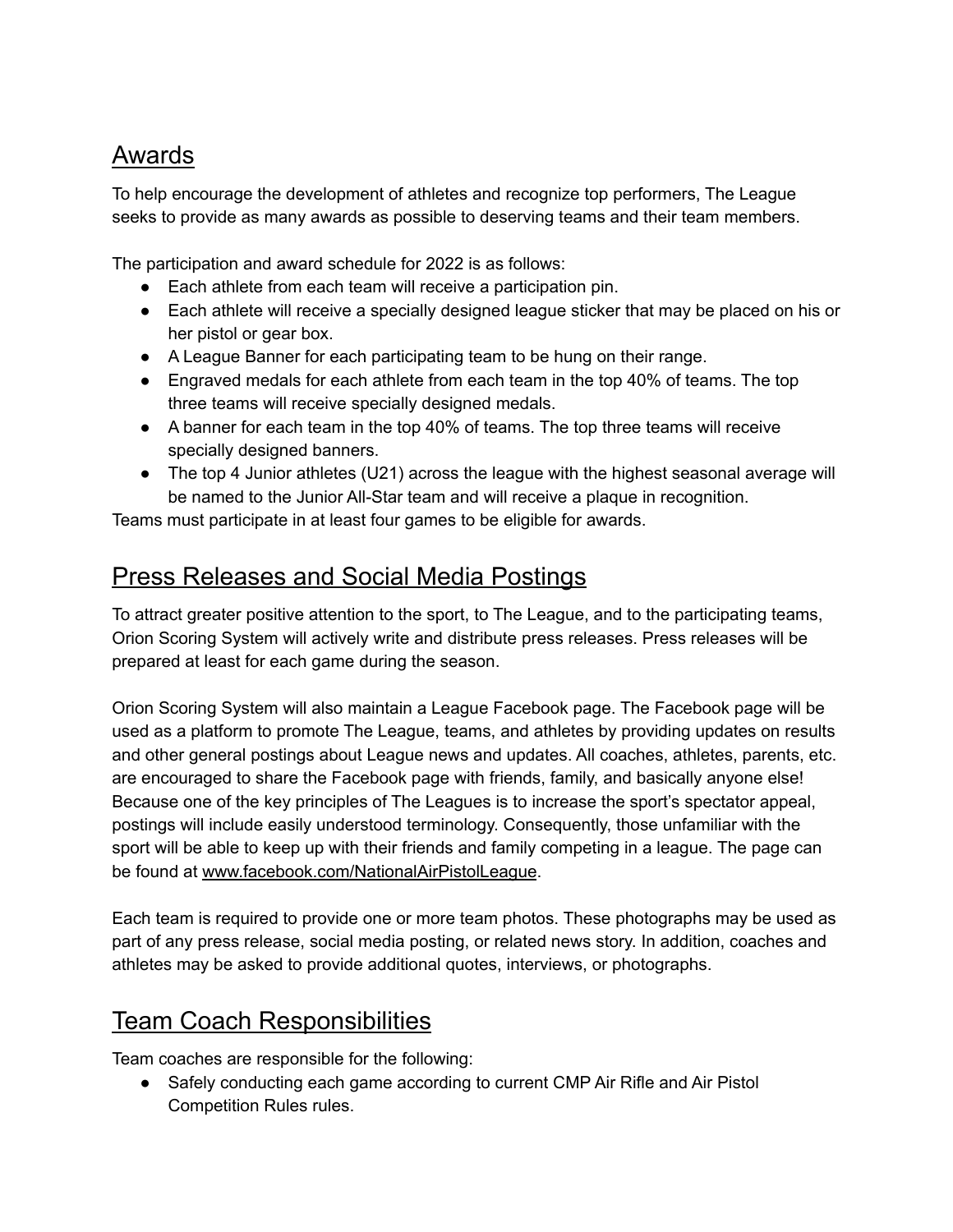## Awards

To help encourage the development of athletes and recognize top performers, The League seeks to provide as many awards as possible to deserving teams and their team members.

The participation and award schedule for 2022 is as follows:

- Each athlete from each team will receive a participation pin.
- Each athlete will receive a specially designed league sticker that may be placed on his or her pistol or gear box.
- A League Banner for each participating team to be hung on their range.
- Engraved medals for each athlete from each team in the top 40% of teams. The top three teams will receive specially designed medals.
- A banner for each team in the top 40% of teams. The top three teams will receive specially designed banners.
- The top 4 Junior athletes (U21) across the league with the highest seasonal average will be named to the Junior All-Star team and will receive a plaque in recognition.

Teams must participate in at least four games to be eligible for awards.

#### Press Releases and Social Media Postings

To attract greater positive attention to the sport, to The League, and to the participating teams, Orion Scoring System will actively write and distribute press releases. Press releases will be prepared at least for each game during the season.

Orion Scoring System will also maintain a League Facebook page. The Facebook page will be used as a platform to promote The League, teams, and athletes by providing updates on results and other general postings about League news and updates. All coaches, athletes, parents, etc. are encouraged to share the Facebook page with friends, family, and basically anyone else! Because one of the key principles of The Leagues is to increase the sport's spectator appeal, postings will include easily understood terminology. Consequently, those unfamiliar with the sport will be able to keep up with their friends and family competing in a league. The page can be found at [www.facebook.com/NationalAirPistolLeague](http://www.facebook.com/NationalAirPistolLeague).

Each team is required to provide one or more team photos. These photographs may be used as part of any press release, social media posting, or related news story. In addition, coaches and athletes may be asked to provide additional quotes, interviews, or photographs.

## Team Coach Responsibilities

Team coaches are responsible for the following:

• Safely conducting each game according to current CMP Air Rifle and Air Pistol Competition Rules rules.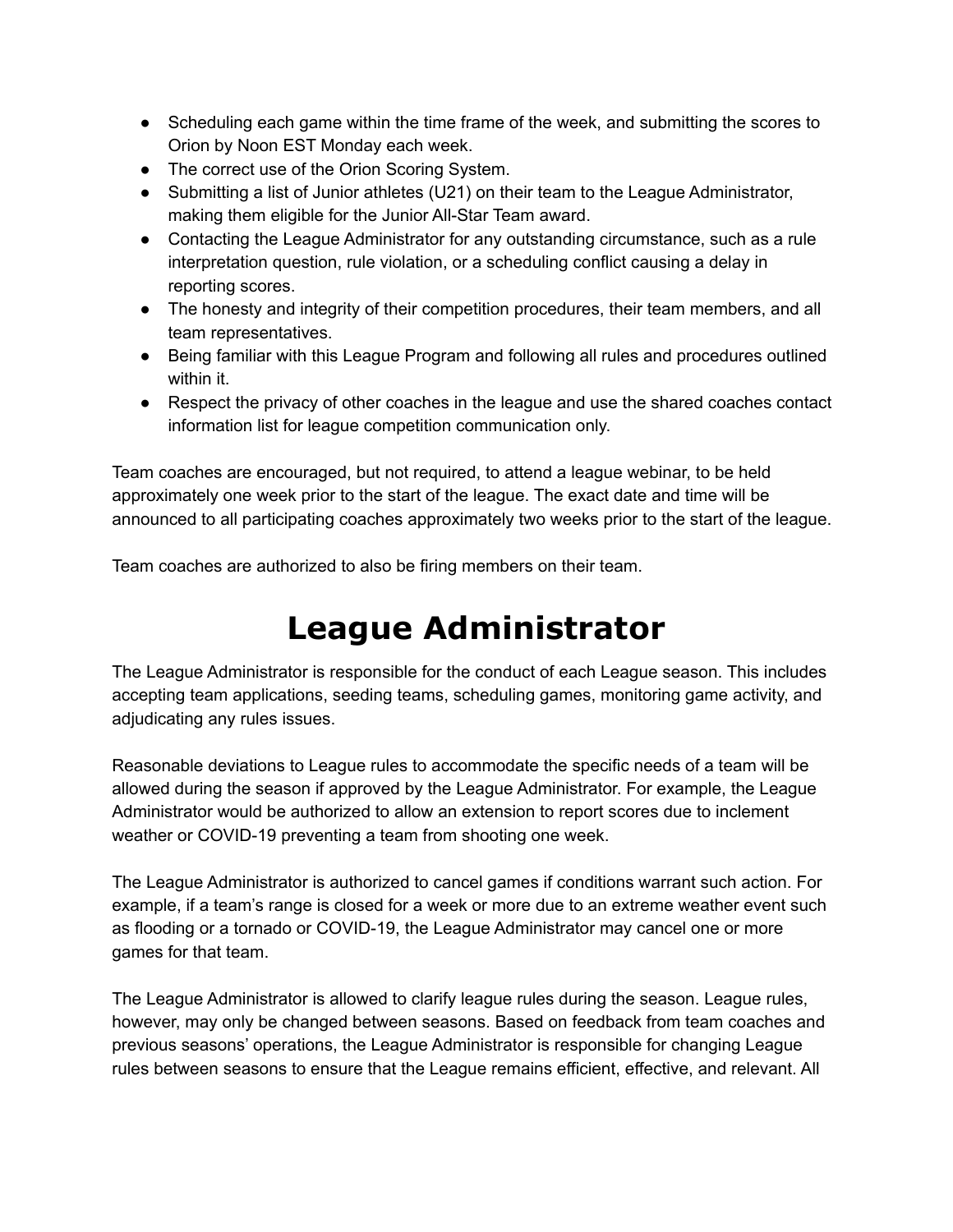- Scheduling each game within the time frame of the week, and submitting the scores to Orion by Noon EST Monday each week.
- The correct use of the Orion Scoring System.
- Submitting a list of Junior athletes (U21) on their team to the League Administrator, making them eligible for the Junior All-Star Team award.
- Contacting the League Administrator for any outstanding circumstance, such as a rule interpretation question, rule violation, or a scheduling conflict causing a delay in reporting scores.
- The honesty and integrity of their competition procedures, their team members, and all team representatives.
- Being familiar with this League Program and following all rules and procedures outlined within it.
- Respect the privacy of other coaches in the league and use the shared coaches contact information list for league competition communication only.

Team coaches are encouraged, but not required, to attend a league webinar, to be held approximately one week prior to the start of the league. The exact date and time will be announced to all participating coaches approximately two weeks prior to the start of the league.

Team coaches are authorized to also be firing members on their team.

## **League Administrator**

The League Administrator is responsible for the conduct of each League season. This includes accepting team applications, seeding teams, scheduling games, monitoring game activity, and adjudicating any rules issues.

Reasonable deviations to League rules to accommodate the specific needs of a team will be allowed during the season if approved by the League Administrator. For example, the League Administrator would be authorized to allow an extension to report scores due to inclement weather or COVID-19 preventing a team from shooting one week.

The League Administrator is authorized to cancel games if conditions warrant such action. For example, if a team's range is closed for a week or more due to an extreme weather event such as flooding or a tornado or COVID-19, the League Administrator may cancel one or more games for that team.

The League Administrator is allowed to clarify league rules during the season. League rules, however, may only be changed between seasons. Based on feedback from team coaches and previous seasons' operations, the League Administrator is responsible for changing League rules between seasons to ensure that the League remains efficient, effective, and relevant. All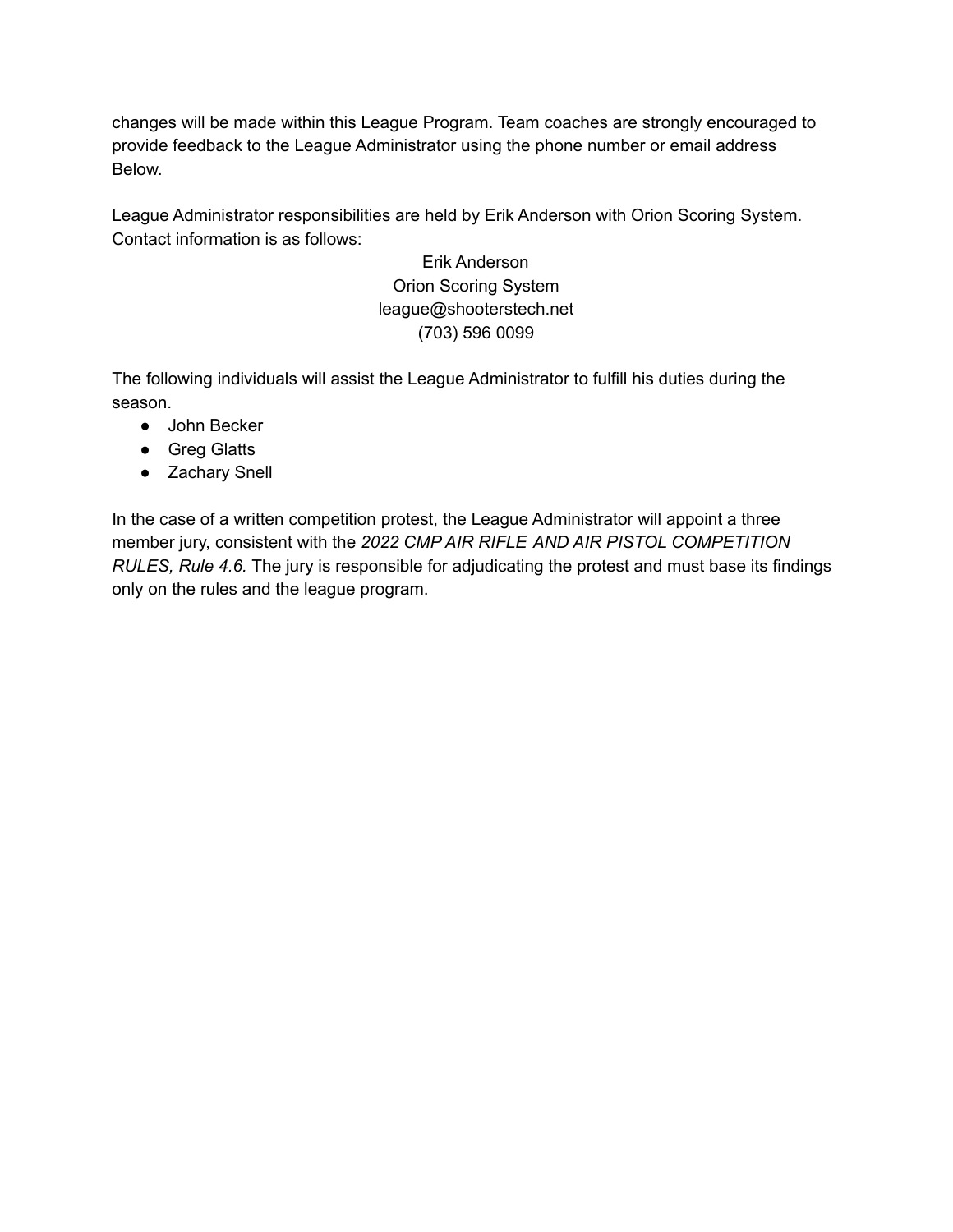changes will be made within this League Program. Team coaches are strongly encouraged to provide feedback to the League Administrator using the phone number or email address Below.

League Administrator responsibilities are held by Erik Anderson with Orion Scoring System. Contact information is as follows:

> Erik Anderson Orion Scoring System league@shooterstech.net (703) 596 0099

The following individuals will assist the League Administrator to fulfill his duties during the season.

- John Becker
- Greg Glatts
- Zachary Snell

In the case of a written competition protest, the League Administrator will appoint a three member jury, consistent with the *2022 CMP AIR RIFLE AND AIR PISTOL COMPETITION RULES, Rule 4.6.* The jury is responsible for adjudicating the protest and must base its findings only on the rules and the league program.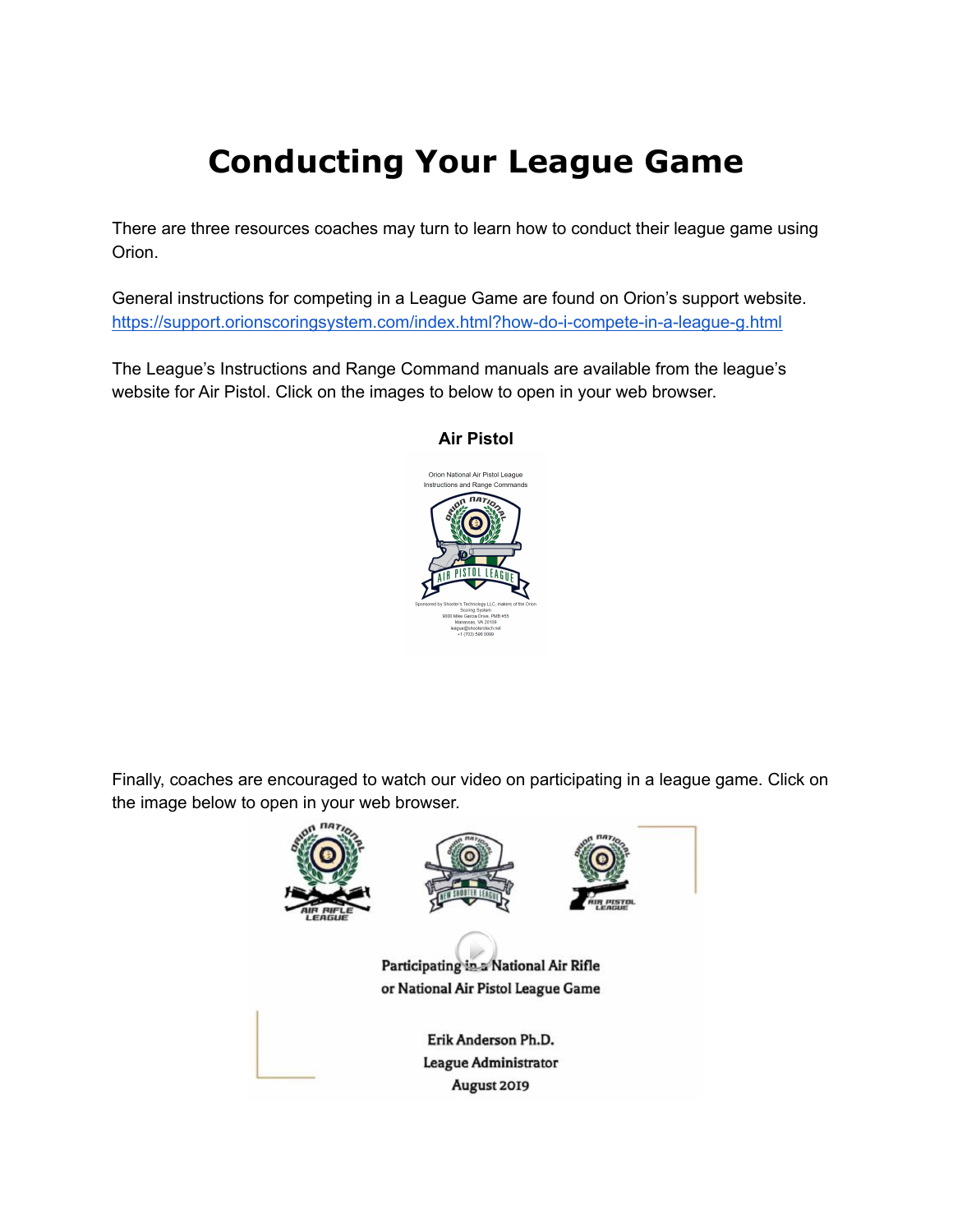## **Conducting Your League Game**

There are three resources coaches may turn to learn how to conduct their league game using Orion.

General instructions for competing in a League Game are found on Orion's support website. <https://support.orionscoringsystem.com/index.html?how-do-i-compete-in-a-league-g.html>

The League's Instructions and Range Command manuals are available from the league's website for Air Pistol. Click on the images to below to open in your web browser.



#### **Air Pistol**

Finally, coaches are encouraged to watch our video on participating in a league game. Click on the image below to open in your web browser.

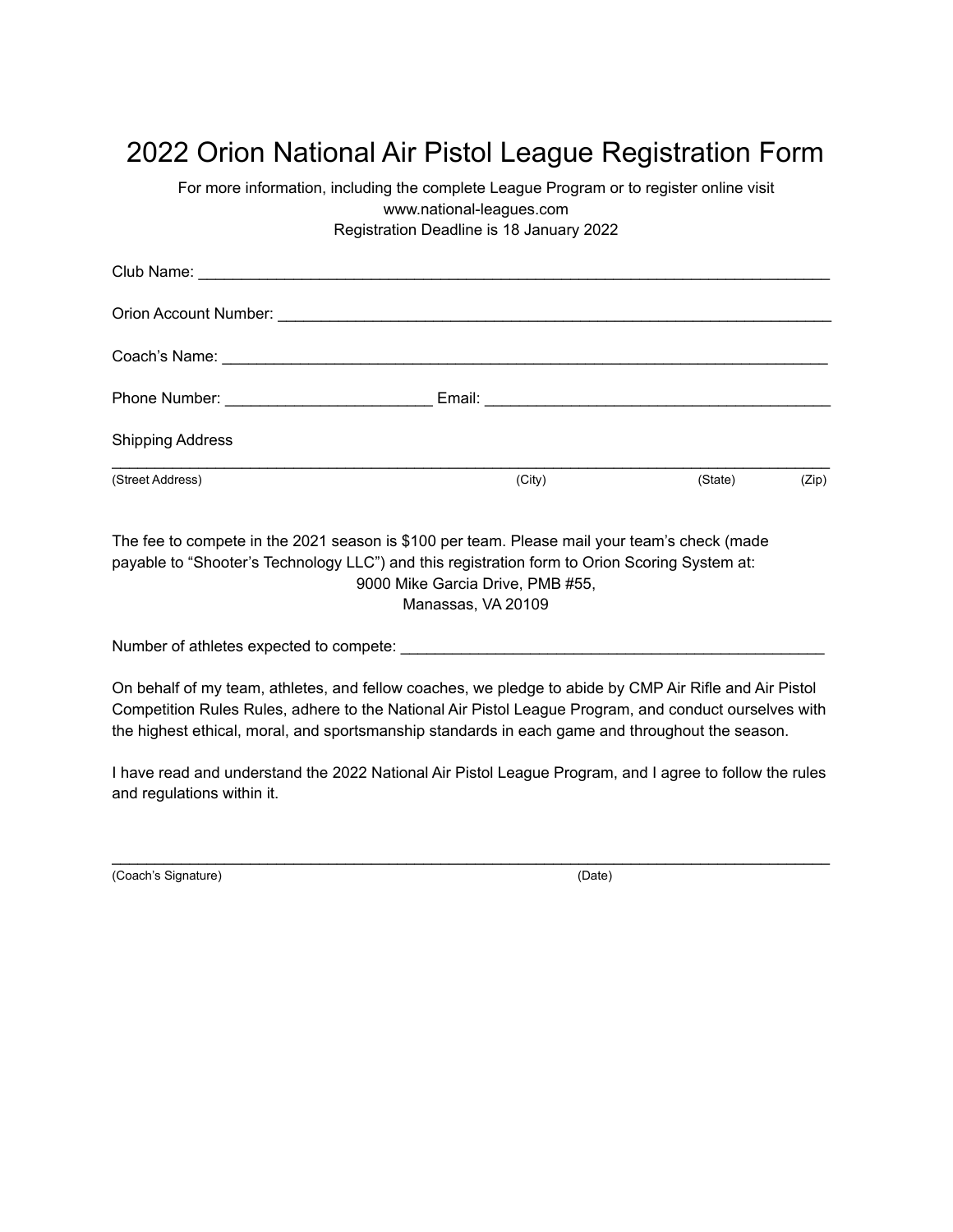## 2022 Orion National Air Pistol League Registration Form

For more information, including the complete League Program or to register online visit www.national-leagues.com Registration Deadline is 18 January 2022

| <b>Shipping Address</b> |        |         |       |
|-------------------------|--------|---------|-------|
| (Street Address)        | (City) | (State) | (Zip) |

The fee to compete in the 2021 season is \$100 per team. Please mail your team's check (made payable to "Shooter's Technology LLC") and this registration form to Orion Scoring System at: 9000 Mike Garcia Drive, PMB #55, Manassas, VA 20109

Number of athletes expected to compete: \_\_\_\_\_\_\_\_\_\_\_\_\_\_\_\_\_\_\_\_\_\_\_\_\_\_\_\_\_\_\_\_\_\_\_\_\_\_\_\_\_\_\_\_\_\_\_\_\_

On behalf of my team, athletes, and fellow coaches, we pledge to abide by CMP Air Rifle and Air Pistol Competition Rules Rules, adhere to the National Air Pistol League Program, and conduct ourselves with the highest ethical, moral, and sportsmanship standards in each game and throughout the season.

I have read and understand the 2022 National Air Pistol League Program, and I agree to follow the rules and regulations within it.

 $\mathcal{L}_\text{max}$  , and the set of the set of the set of the set of the set of the set of the set of the set of the set of the set of the set of the set of the set of the set of the set of the set of the set of the set of the

(Coach's Signature) (Date)